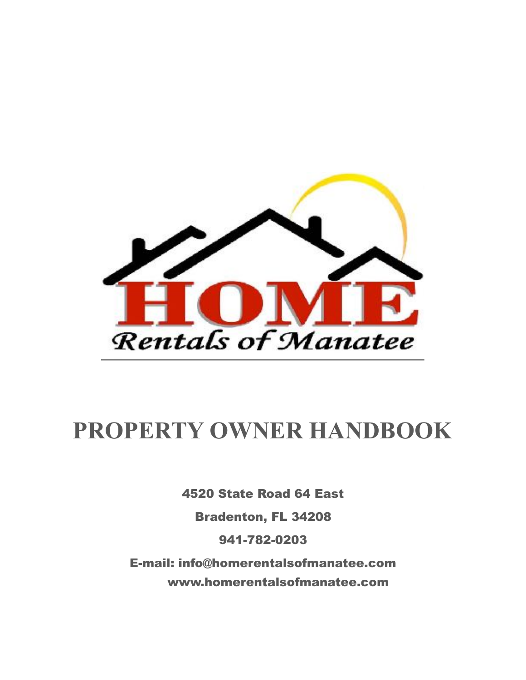

# **PROPERTY OWNER HANDBOOK**

4520 State Road 64 East

Bradenton, FL 34208

941-782-0203

E-mail: info@homerentalsofmanatee.com www.homerentalsofmanatee.com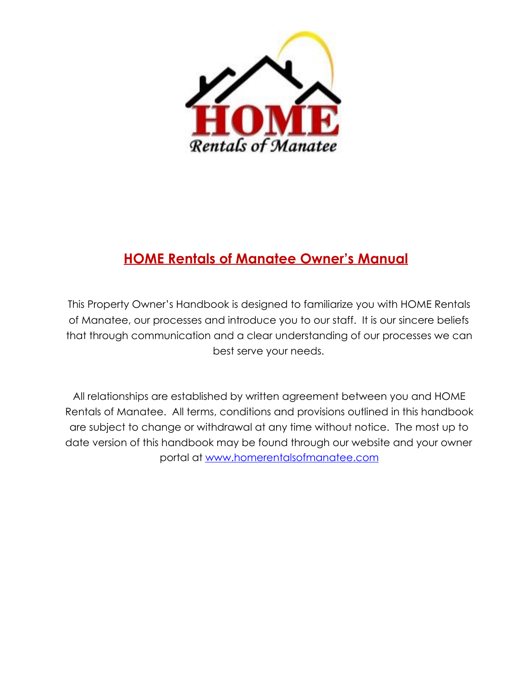

# **HOME Rentals of Manatee Owner's Manual**

This Property Owner's Handbook is designed to familiarize you with HOME Rentals of Manatee, our processes and introduce you to our staff. It is our sincere beliefs that through communication and a clear understanding of our processes we can best serve your needs.

All relationships are established by written agreement between you and HOME Rentals of Manatee. All terms, conditions and provisions outlined in this handbook are subject to change or withdrawal at any time without notice. The most up to date version of this handbook may be found through our website and your owner portal at [www.homerentalsofmanatee.com](http://www.homerentalsofmanatee.com)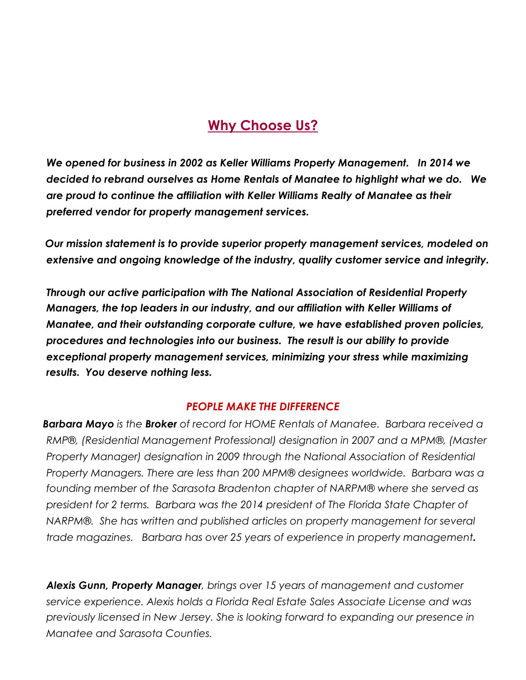# **Why Choose Us?**

 *We opened for business in 2002 as Keller Williams Property Management. In 2014 we decided to rebrand ourselves as Home Rentals of Manatee to highlight what we do. We are proud to continue the affiliation with Keller Williams Realty of Manatee as their preferred vendor for property management services.* 

 *Our mission statement is to provide superior property management services, modeled on extensive and ongoing knowledge of the industry, quality customer service and integrity.* 

 *Through our active participation with The National Association of Residential Property Managers, the top leaders in our industry, and our affiliation with Keller Williams of Manatee, and their outstanding corporate culture, we have established proven policies, procedures and technologies into our business. The result is our ability to provide exceptional property management services, minimizing your stress while maximizing results. You deserve nothing less.* 

#### *PEOPLE MAKE THE DIFFERENCE*

 *Barbara Mayo is the Broker of record for HOME Rentals of Manatee. Barbara received a RMP®, (Residential Management Professional) designation in 2007 and a MPM®, (Master Property Manager) designation in 2009 through the National Association of Residential Property Managers. There are less than 200 MPM® designees worldwide. Barbara was a founding member of the Sarasota Bradenton chapter of NARPM® where she served as president for 2 terms. Barbara was the 2014 president of The Florida State Chapter of NARPM®. She has written and published articles on property management for several trade magazines. Barbara has over 25 years of experience in property management.* 

*Alexis Gunn, Property Manager, brings over 15 years of management and customer service experience. Alexis holds a Florida Real Estate Sales Associate License and was previously licensed in New Jersey. She is looking forward to expanding our presence in Manatee and Sarasota Counties.*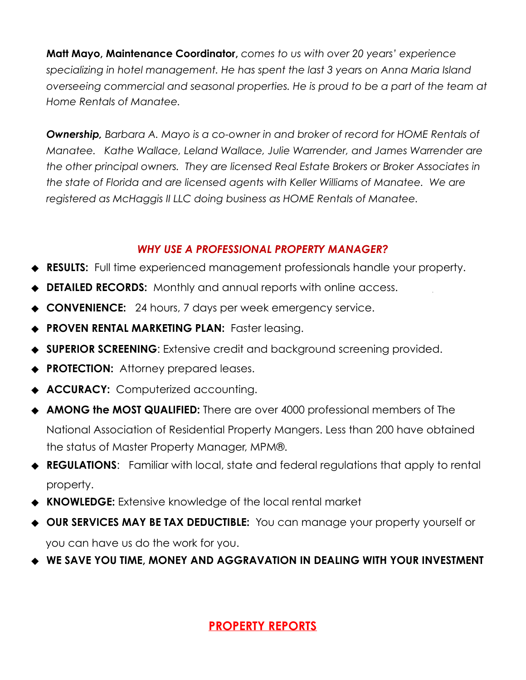**Matt Mayo, Maintenance Coordinator,** *comes to us with over 20 years' experience specializing in hotel management. He has spent the last 3 years on Anna Maria Island overseeing commercial and seasonal properties. He is proud to be a part of the team at Home Rentals of Manatee.* 

*Ownership, Barbara A. Mayo is a co-owner in and broker of record for HOME Rentals of Manatee. Kathe Wallace, Leland Wallace, Julie Warrender, and James Warrender are the other principal owners. They are licensed Real Estate Brokers or Broker Associates in the state of Florida and are licensed agents with Keller Williams of Manatee. We are registered as McHaggis II LLC doing business as HOME Rentals of Manatee.*

### *WHY USE A PROFESSIONAL PROPERTY MANAGER?*

- **RESULTS:** Full time experienced management professionals handle your property.
- **DETAILED RECORDS:** Monthly and annual reports with online access.
- ⬥ **CONVENIENCE:** 24 hours, 7 days per week emergency service.
- **PROVEN RENTAL MARKETING PLAN: Faster leasing.**
- ⬥ **SUPERIOR SCREENING**: Extensive credit and background screening provided.
- ⬥ **PROTECTION:** Attorney prepared leases.
- ⬥ **ACCURACY:** Computerized accounting.
- ⬥ **AMONG the MOST QUALIFIED:** There are over 4000 professional members of The National Association of Residential Property Mangers. Less than 200 have obtained the status of Master Property Manager, MPM®.
- ⬥ **REGULATIONS**: Familiar with local, state and federal regulations that apply to rental property.
- ⬥ **KNOWLEDGE:** Extensive knowledge of the local rental market
- ⬥ **OUR SERVICES MAY BE TAX DEDUCTIBLE:** You can manage your property yourself or you can have us do the work for you.
- ◆ WE SAVE YOU TIME, MONEY AND AGGRAVATION IN DEALING WITH YOUR INVESTMENT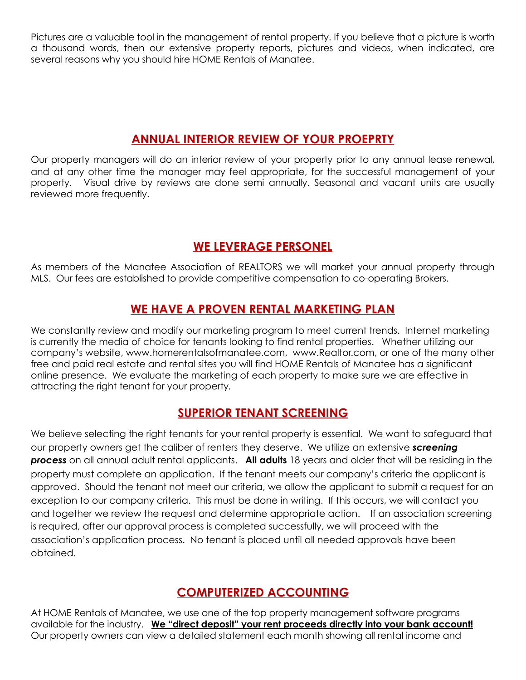Pictures are a valuable tool in the management of rental property. If you believe that a picture is worth a thousand words, then our extensive property reports, pictures and videos, when indicated, are several reasons why you should hire HOME Rentals of Manatee.

### **ANNUAL INTERIOR REVIEW OF YOUR PROEPRTY**

Our property managers will do an interior review of your property prior to any annual lease renewal, and at any other time the manager may feel appropriate, for the successful management of your property. Visual drive by reviews are done semi annually. Seasonal and vacant units are usually reviewed more frequently.

### **WE LEVERAGE PERSONEL**

As members of the Manatee Association of REALTORS we will market your annual property through MLS. Our fees are established to provide competitive compensation to co-operating Brokers.

### **WE HAVE A PROVEN RENTAL MARKETING PLAN**

We constantly review and modify our marketing program to meet current trends. Internet marketing is currently the media of choice for tenants looking to find rental properties. Whether utilizing our company's website, www.homerentalsofmanatee.com, www.Realtor.com, or one of the many other free and paid real estate and rental sites you will find HOME Rentals of Manatee has a significant online presence. We evaluate the marketing of each property to make sure we are effective in attracting the right tenant for your property*.* 

### **SUPERIOR TENANT SCREENING**

We believe selecting the right tenants for your rental property is essential. We want to safeguard that our property owners get the caliber of renters they deserve. We utilize an extensive *screening process* on all annual adult rental applicants. **All adults** 18 years and older that will be residing in the property must complete an application. If the tenant meets our company's criteria the applicant is approved. Should the tenant not meet our criteria, we allow the applicant to submit a request for an exception to our company criteria. This must be done in writing. If this occurs, we will contact you and together we review the request and determine appropriate action. If an association screening is required, after our approval process is completed successfully, we will proceed with the association's application process. No tenant is placed until all needed approvals have been obtained.

### **COMPUTERIZED ACCOUNTING**

At HOME Rentals of Manatee, we use one of the top property management software programs available for the industry. **We "direct deposit" your rent proceeds directly into your bank account!** Our property owners can view a detailed statement each month showing all rental income and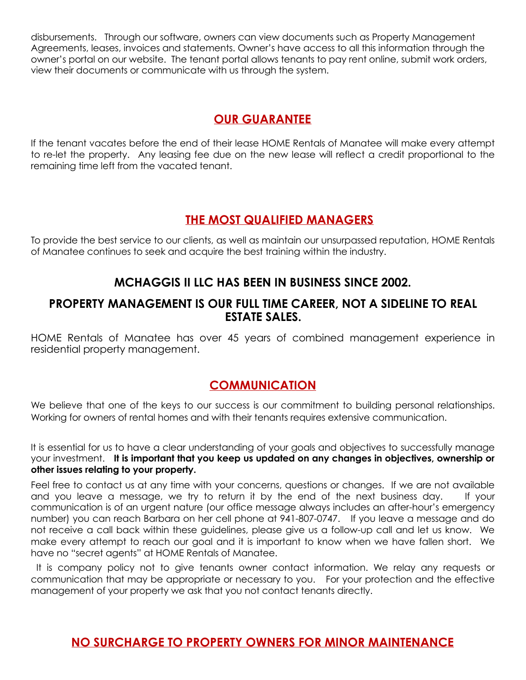disbursements. Through our software, owners can view documents such as Property Management Agreements, leases, invoices and statements. Owner's have access to all this information through the owner's portal on our website. The tenant portal allows tenants to pay rent online, submit work orders, view their documents or communicate with us through the system.

### **OUR GUARANTEE**

If the tenant vacates before the end of their lease HOME Rentals of Manatee will make every attempt to re-let the property. Any leasing fee due on the new lease will reflect a credit proportional to the remaining time left from the vacated tenant.

### **THE MOST QUALIFIED MANAGERS**

To provide the best service to our clients, as well as maintain our unsurpassed reputation, HOME Rentals of Manatee continues to seek and acquire the best training within the industry.

### **MCHAGGIS II LLC HAS BEEN IN BUSINESS SINCE 2002.**

#### **PROPERTY MANAGEMENT IS OUR FULL TIME CAREER, NOT A SIDELINE TO REAL ESTATE SALES.**

HOME Rentals of Manatee has over 45 years of combined management experience in residential property management.

### **COMMUNICATION**

We believe that one of the keys to our success is our commitment to building personal relationships. Working for owners of rental homes and with their tenants requires extensive communication.

It is essential for us to have a clear understanding of your goals and objectives to successfully manage your investment. **It is important that you keep us updated on any changes in objectives, ownership or other issues relating to your property.** 

Feel free to contact us at any time with your concerns, questions or changes. If we are not available and you leave a message, we try to return it by the end of the next business day. If your communication is of an urgent nature (our office message always includes an after-hour's emergency number) you can reach Barbara on her cell phone at 941-807-0747. If you leave a message and do not receive a call back within these guidelines, please give us a follow-up call and let us know. We make every attempt to reach our goal and it is important to know when we have fallen short. We have no "secret agents" at HOME Rentals of Manatee.

 It is company policy not to give tenants owner contact information. We relay any requests or communication that may be appropriate or necessary to you. For your protection and the effective management of your property we ask that you not contact tenants directly.

### **NO SURCHARGE TO PROPERTY OWNERS FOR MINOR MAINTENANCE**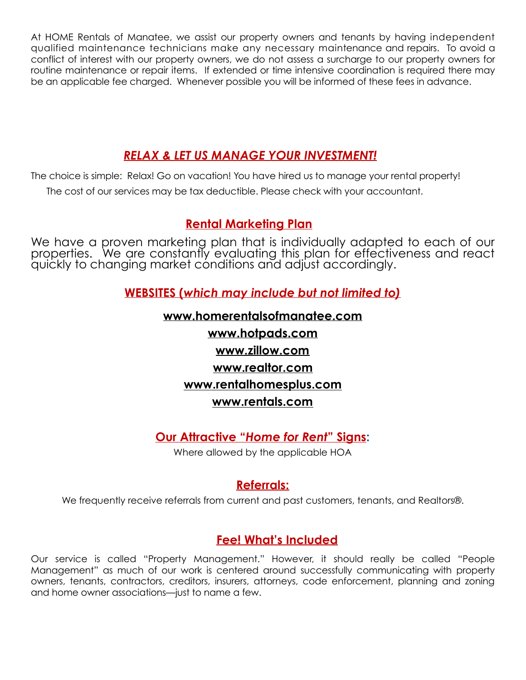At HOME Rentals of Manatee, we assist our property owners and tenants by having independent qualified maintenance technicians make any necessary maintenance and repairs. To avoid a conflict of interest with our property owners, we do not assess a surcharge to our property owners for routine maintenance or repair items. If extended or time intensive coordination is required there may be an applicable fee charged. Whenever possible you will be informed of these fees in advance.

### *RELAX & LET US MANAGE YOUR INVESTMENT!*

The choice is simple: Relax! Go on vacation! You have hired us to manage your rental property! The cost of our services may be tax deductible. Please check with your accountant.

### **Rental Marketing Plan**

We have a proven marketing plan that is individually adapted to each of our properties. We are constantly evaluating this plan for effectiveness and react quickly to changing market conditions and adjust accordingly.

**WEBSITES (***which may include but not limited to)*

## **[www.homerentalsofmanatee.com](http://www.homerentalsofmanatee.com) [www.hotpads.com](http://www.hotpads.com) [www.zillow.com](http://www.zillow.com) www.realtor.com www.rentalhomesplus.com www.rentals.com**

### **Our Attractive "***Home for Rent***" Signs:**

Where allowed by the applicable HOA

### **Referrals:**

We frequently receive referrals from current and past customers, tenants, and Realtors®.

### **Fee! What's Included**

Our service is called "Property Management." However, it should really be called "People Management" as much of our work is centered around successfully communicating with property owners, tenants, contractors, creditors, insurers, attorneys, code enforcement, planning and zoning and home owner associations—just to name a few.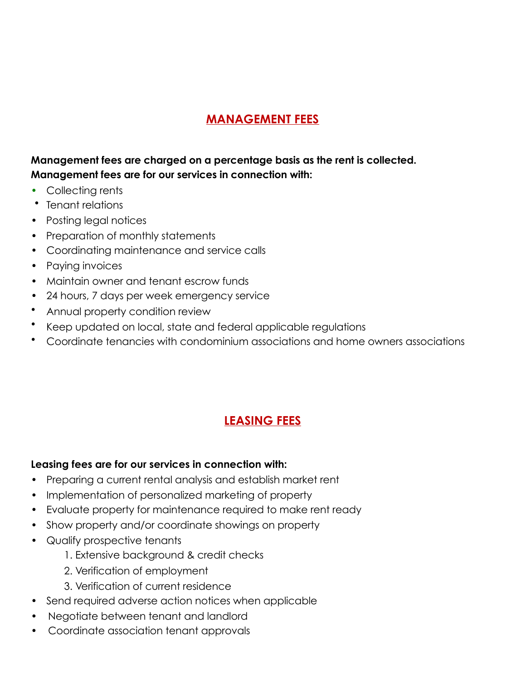### **MANAGEMENT FEES**

### **Management fees are charged on a percentage basis as the rent is collected. Management fees are for our services in connection with:**

- **•** Collecting rents
- Tenant relations
- Posting legal notices
- Preparation of monthly statements
- Coordinating maintenance and service calls
- Paying invoices
- Maintain owner and tenant escrow funds
- 24 hours, 7 days per week emergency service
- Annual property condition review
- Keep updated on local, state and federal applicable regulations
- Coordinate tenancies with condominium associations and home owners associations

### **LEASING FEES**

#### **Leasing fees are for our services in connection with:**

- Preparing a current rental analysis and establish market rent
- Implementation of personalized marketing of property
- Evaluate property for maintenance required to make rent ready
- Show property and/or coordinate showings on property
- Qualify prospective tenants
	- 1. Extensive background & credit checks
	- 2. Verification of employment
	- 3. Verification of current residence
- Send required adverse action notices when applicable
- Negotiate between tenant and landlord
- Coordinate association tenant approvals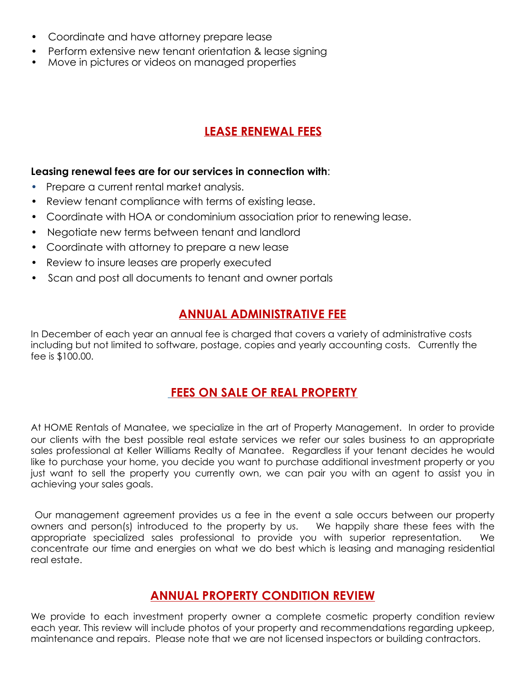- Coordinate and have attorney prepare lease
- Perform extensive new tenant orientation & lease signing
- Move in pictures or videos on managed properties

### **LEASE RENEWAL FEES**

#### **Leasing renewal fees are for our services in connection with**:

- **•** Prepare a current rental market analysis.
- Review tenant compliance with terms of existing lease.
- Coordinate with HOA or condominium association prior to renewing lease.
- Negotiate new terms between tenant and landlord
- Coordinate with attorney to prepare a new lease
- Review to insure leases are properly executed
- Scan and post all documents to tenant and owner portals

### **ANNUAL ADMINISTRATIVE FEE**

In December of each year an annual fee is charged that covers a variety of administrative costs including but not limited to software, postage, copies and yearly accounting costs. Currently the fee is \$100.00.

### **FEES ON SALE OF REAL PROPERTY**

At HOME Rentals of Manatee, we specialize in the art of Property Management. In order to provide our clients with the best possible real estate services we refer our sales business to an appropriate sales professional at Keller Williams Realty of Manatee. Regardless if your tenant decides he would like to purchase your home, you decide you want to purchase additional investment property or you just want to sell the property you currently own, we can pair you with an agent to assist you in achieving your sales goals.

 Our management agreement provides us a fee in the event a sale occurs between our property owners and person(s) introduced to the property by us. We happily share these fees with the appropriate specialized sales professional to provide you with superior representation. We concentrate our time and energies on what we do best which is leasing and managing residential real estate.

### **ANNUAL PROPERTY CONDITION REVIEW**

We provide to each investment property owner a complete cosmetic property condition review each year. This review will include photos of your property and recommendations regarding upkeep, maintenance and repairs. Please note that we are not licensed inspectors or building contractors.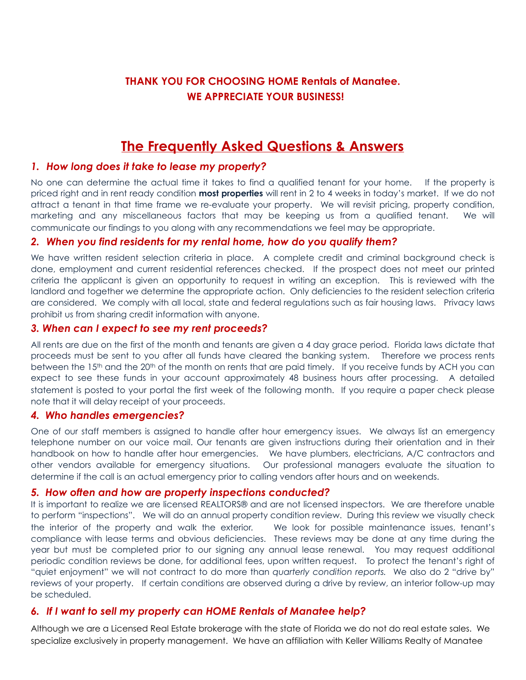### **THANK YOU FOR CHOOSING HOME Rentals of Manatee. WE APPRECIATE YOUR BUSINESS!**

### **The Frequently Asked Questions & Answers**

#### *1. How long does it take to lease my property?*

No one can determine the actual time it takes to find a qualified tenant for your home. If the property is priced right and in rent ready condition **most properties** will rent in 2 to 4 weeks in today's market. If we do not attract a tenant in that time frame we re-evaluate your property. We will revisit pricing, property condition, marketing and any miscellaneous factors that may be keeping us from a qualified tenant. We will communicate our findings to you along with any recommendations we feel may be appropriate.

#### *2. When you find residents for my rental home, how do you qualify them?*

We have written resident selection criteria in place. A complete credit and criminal background check is done, employment and current residential references checked. If the prospect does not meet our printed criteria the applicant is given an opportunity to request in writing an exception. This is reviewed with the landlord and together we determine the appropriate action. Only deficiencies to the resident selection criteria are considered. We comply with all local, state and federal regulations such as fair housing laws. Privacy laws prohibit us from sharing credit information with anyone.

#### *3. When can I expect to see my rent proceeds?*

All rents are due on the first of the month and tenants are given a 4 day grace period. Florida laws dictate that proceeds must be sent to you after all funds have cleared the banking system. Therefore we process rents between the 15<sup>th</sup> and the 20<sup>th</sup> of the month on rents that are paid timely. If you receive funds by ACH you can expect to see these funds in your account approximately 48 business hours after processing. A detailed statement is posted to your portal the first week of the following month. If you require a paper check please note that it will delay receipt of your proceeds.

#### *4. Who handles emergencies?*

One of our staff members is assigned to handle after hour emergency issues. We always list an emergency telephone number on our voice mail. Our tenants are given instructions during their orientation and in their handbook on how to handle after hour emergencies. We have plumbers, electricians, A/C contractors and other vendors available for emergency situations. Our professional managers evaluate the situation to determine if the call is an actual emergency prior to calling vendors after hours and on weekends.

#### *5. How often and how are property inspections conducted?*

It is important to realize we are licensed REALTORS® and are not licensed inspectors. We are therefore unable to perform "inspections". We will do an annual property condition review. During this review we visually check the interior of the property and walk the exterior. We look for possible maintenance issues, tenant's compliance with lease terms and obvious deficiencies. These reviews may be done at any time during the year but must be completed prior to our signing any annual lease renewal. You may request additional periodic condition reviews be done, for additional fees, upon written request. To protect the tenant's right of "quiet enjoyment" we will not contract to do more than *quarterly condition reports.* We also do 2 "drive by" reviews of your property. If certain conditions are observed during a drive by review, an interior follow-up may be scheduled.

#### *6. If I want to sell my property can HOME Rentals of Manatee help?*

Although we are a Licensed Real Estate brokerage with the state of Florida we do not do real estate sales. We specialize exclusively in property management. We have an affiliation with Keller Williams Realty of Manatee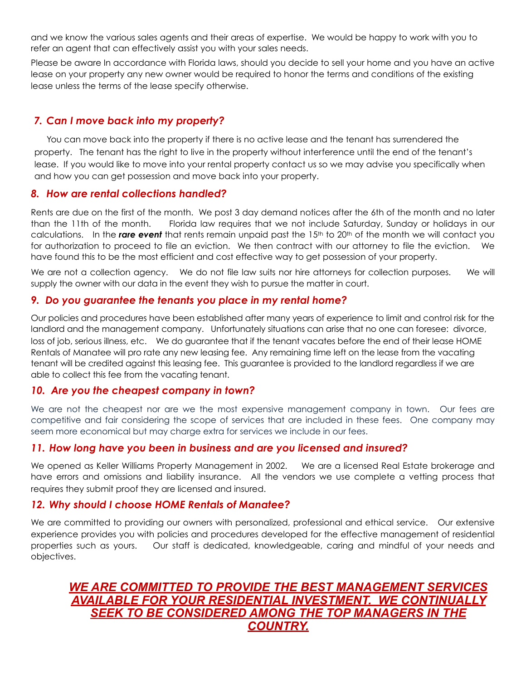and we know the various sales agents and their areas of expertise. We would be happy to work with you to refer an agent that can effectively assist you with your sales needs.

Please be aware In accordance with Florida laws, should you decide to sell your home and you have an active lease on your property any new owner would be required to honor the terms and conditions of the existing lease unless the terms of the lease specify otherwise.

#### *7. Can I move back into my property?*

 You can move back into the property if there is no active lease and the tenant has surrendered the property. The tenant has the right to live in the property without interference until the end of the tenant's lease. If you would like to move into your rental property contact us so we may advise you specifically when and how you can get possession and move back into your property.

#### *8. How are rental collections handled?*

Rents are due on the first of the month. We post 3 day demand notices after the 6th of the month and no later than the 11th of the month. Florida law requires that we not include Saturday, Sunday or holidays in our calculations. In the *rare event* that rents remain unpaid past the 15th to 20th of the month we will contact you for authorization to proceed to file an eviction. We then contract with our attorney to file the eviction. We have found this to be the most efficient and cost effective way to get possession of your property.

We are not a collection agency. We do not file law suits nor hire attorneys for collection purposes. We will supply the owner with our data in the event they wish to pursue the matter in court.

#### *9. Do you guarantee the tenants you place in my rental home?*

Our policies and procedures have been established after many years of experience to limit and control risk for the landlord and the management company. Unfortunately situations can arise that no one can foresee: divorce, loss of job, serious illness, etc. We do guarantee that if the tenant vacates before the end of their lease HOME Rentals of Manatee will pro rate any new leasing fee. Any remaining time left on the lease from the vacating tenant will be credited against this leasing fee. This guarantee is provided to the landlord regardless if we are able to collect this fee from the vacating tenant.

#### *10. Are you the cheapest company in town?*

We are not the cheapest nor are we the most expensive management company in town. Our fees are competitive and fair considering the scope of services that are included in these fees. One company may seem more economical but may charge extra for services we include in our fees.

#### *11. How long have you been in business and are you licensed and insured?*

We opened as Keller Williams Property Management in 2002. We are a licensed Real Estate brokerage and have errors and omissions and liability insurance. All the vendors we use complete a vetting process that requires they submit proof they are licensed and insured.

#### *12. Why should I choose HOME Rentals of Manatee?*

We are committed to providing our owners with personalized, professional and ethical service. Our extensive experience provides you with policies and procedures developed for the effective management of residential properties such as yours. Our staff is dedicated, knowledgeable, caring and mindful of your needs and objectives.

### *WE ARE COMMITTED TO PROVIDE THE BEST MANAGEMENT SERVICES AVAILABLE FOR YOUR RESIDENTIAL INVESTMENT. WE CONTINUALLY SEEK TO BE CONSIDERED AMONG THE TOP MANAGERS IN THE COUNTRY.*